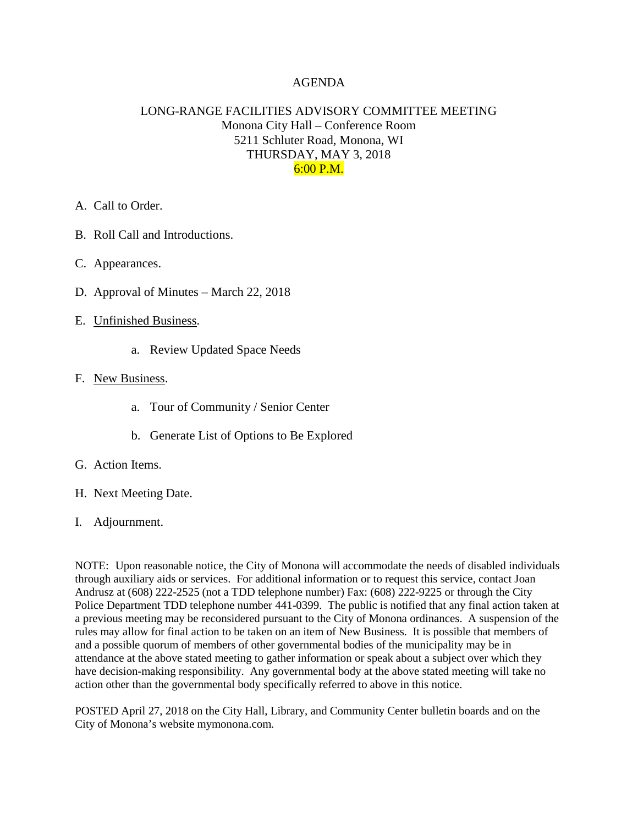## AGENDA

# LONG-RANGE FACILITIES ADVISORY COMMITTEE MEETING Monona City Hall – Conference Room 5211 Schluter Road, Monona, WI THURSDAY, MAY 3, 2018 6:00 P.M.

- A. Call to Order.
- B. Roll Call and Introductions.
- C. Appearances.
- D. Approval of Minutes March 22, 2018
- E. Unfinished Business.
	- a. Review Updated Space Needs

### F. New Business.

- a. Tour of Community / Senior Center
- b. Generate List of Options to Be Explored
- G. Action Items.
- H. Next Meeting Date.
- I. Adjournment.

NOTE: Upon reasonable notice, the City of Monona will accommodate the needs of disabled individuals through auxiliary aids or services. For additional information or to request this service, contact Joan Andrusz at (608) 222-2525 (not a TDD telephone number) Fax: (608) 222-9225 or through the City Police Department TDD telephone number 441-0399. The public is notified that any final action taken at a previous meeting may be reconsidered pursuant to the City of Monona ordinances. A suspension of the rules may allow for final action to be taken on an item of New Business. It is possible that members of and a possible quorum of members of other governmental bodies of the municipality may be in attendance at the above stated meeting to gather information or speak about a subject over which they have decision-making responsibility. Any governmental body at the above stated meeting will take no action other than the governmental body specifically referred to above in this notice.

POSTED April 27, 2018 on the City Hall, Library, and Community Center bulletin boards and on the City of Monona's website mymonona.com.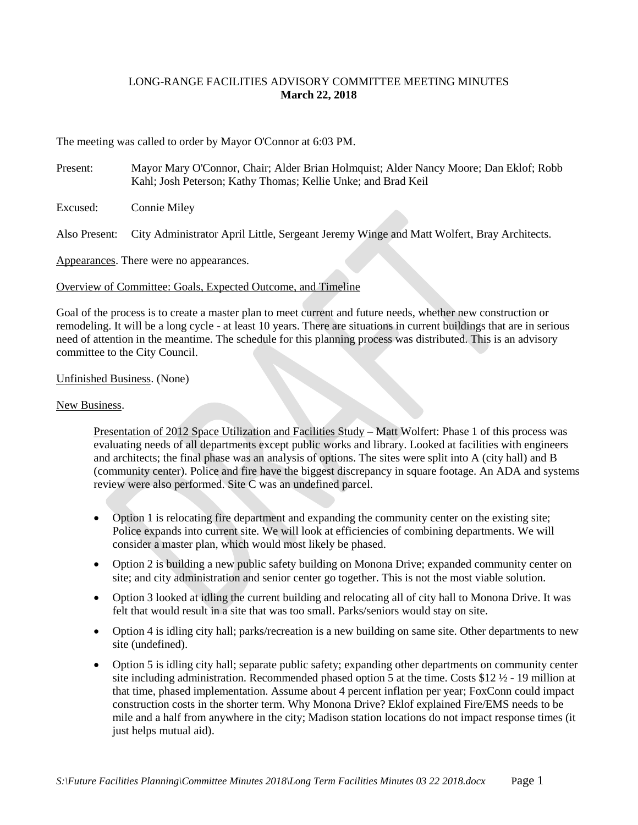### LONG-RANGE FACILITIES ADVISORY COMMITTEE MEETING MINUTES **March 22, 2018**

The meeting was called to order by Mayor O'Connor at 6:03 PM.

Present: Mayor Mary O'Connor, Chair; Alder Brian Holmquist; Alder Nancy Moore; Dan Eklof; Robb Kahl; Josh Peterson; Kathy Thomas; Kellie Unke; and Brad Keil

Excused: Connie Miley

Also Present: City Administrator April Little, Sergeant Jeremy Winge and Matt Wolfert, Bray Architects.

Appearances. There were no appearances.

### Overview of Committee: Goals, Expected Outcome, and Timeline

Goal of the process is to create a master plan to meet current and future needs, whether new construction or remodeling. It will be a long cycle - at least 10 years. There are situations in current buildings that are in serious need of attention in the meantime. The schedule for this planning process was distributed. This is an advisory committee to the City Council.

### Unfinished Business. (None)

### New Business.

Presentation of 2012 Space Utilization and Facilities Study – Matt Wolfert: Phase 1 of this process was evaluating needs of all departments except public works and library. Looked at facilities with engineers and architects; the final phase was an analysis of options. The sites were split into A (city hall) and B (community center). Police and fire have the biggest discrepancy in square footage. An ADA and systems review were also performed. Site C was an undefined parcel.

- Option 1 is relocating fire department and expanding the community center on the existing site; Police expands into current site. We will look at efficiencies of combining departments. We will consider a master plan, which would most likely be phased.
- Option 2 is building a new public safety building on Monona Drive; expanded community center on site; and city administration and senior center go together. This is not the most viable solution.
- Option 3 looked at idling the current building and relocating all of city hall to Monona Drive. It was felt that would result in a site that was too small. Parks/seniors would stay on site.
- Option 4 is idling city hall; parks/recreation is a new building on same site. Other departments to new site (undefined).
- Option 5 is idling city hall; separate public safety; expanding other departments on community center site including administration. Recommended phased option 5 at the time. Costs \$12  $\frac{1}{2}$  - 19 million at that time, phased implementation. Assume about 4 percent inflation per year; FoxConn could impact construction costs in the shorter term. Why Monona Drive? Eklof explained Fire/EMS needs to be mile and a half from anywhere in the city; Madison station locations do not impact response times (it just helps mutual aid).